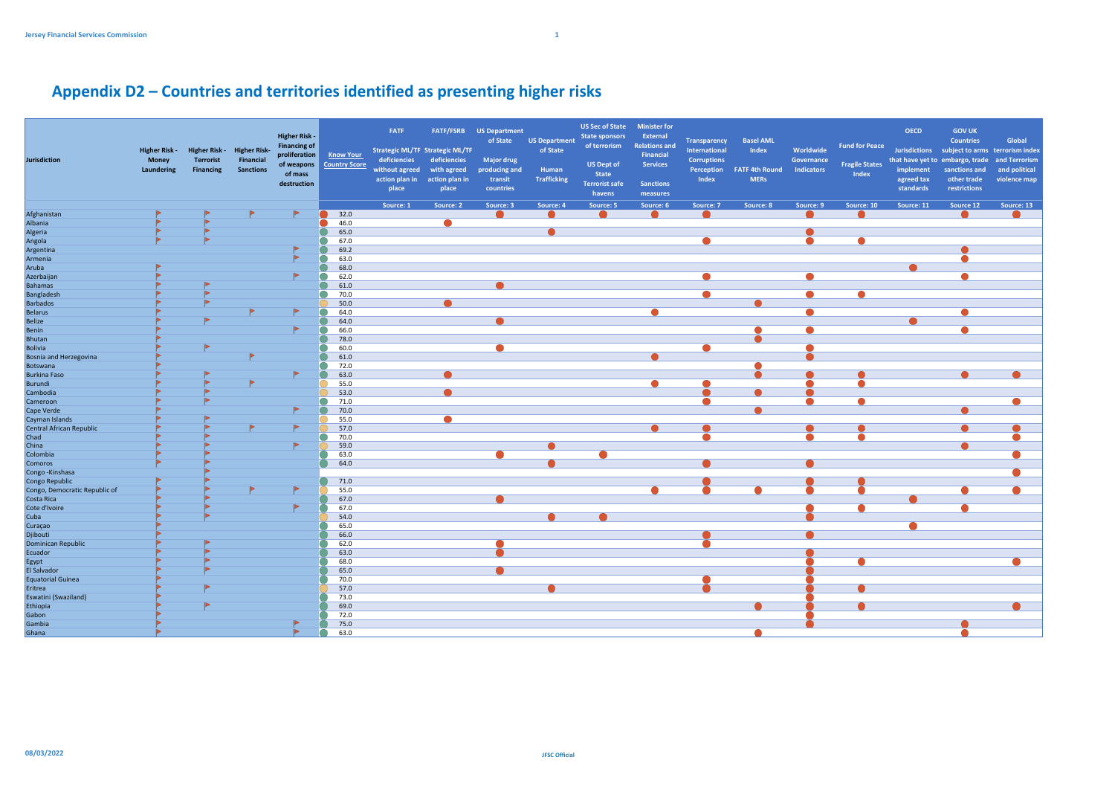## **Appendix D2 – Countries and territories identified as presenting higher risks**

| <b>Jurisdiction</b>           | <b>Higher Risk -</b><br><b>Money</b><br>Laundering | Higher Risk - Higher Risk-<br><b>Terrorist</b><br><b>Financing</b> | <b>Financial</b><br><b>Sanctions</b> | <b>Higher Risk -</b><br><b>Financing of</b><br>proliferation<br>of mass<br>destruction | <b>Know Your</b><br>of weapons Country Score | <b>FATF</b><br><b>Strategic ML/TF Strategic ML/TF</b><br>deficiencies<br>without agreed<br>action plan in<br>place | deficiencies<br>with agreed<br>action plan in<br>place | <b>FATF/FSRB</b> US Department<br>of State<br><b>Major drug</b><br>producing and<br>transit<br>countries | <b>US Department</b><br>of State<br>Human<br><b>Trafficking</b> | <b>US Sec of State Minister for</b><br><b>State sponsors</b><br>of terrorism<br><b>US Dept of</b><br><b>State</b><br><b>Terrorist safe</b><br>havens | External<br><b>Relations and</b><br>Financial<br><b>Services</b><br><b>Sanctions</b><br>measures | <b>Transparency</b><br>International<br><b>Corruptions</b><br>Index | <b>Basel AML</b><br>Index<br>Perception FATF 4th Round<br><b>MERs</b> | Worldwide<br>Governance<br>Indicators | <b>Fund for Peace</b><br><b>Fragile States</b><br>Index | <b>OECD</b><br>implement<br>agreed tax<br>standards | <b>GOV UK</b><br><b>Countries</b><br>Jurisdictions subject to arms terrorism index<br>that have yet to embargo, trade<br>sanctions and<br>other trade<br>restrictions | Global<br>and Terrorism<br>and political<br>violence map |
|-------------------------------|----------------------------------------------------|--------------------------------------------------------------------|--------------------------------------|----------------------------------------------------------------------------------------|----------------------------------------------|--------------------------------------------------------------------------------------------------------------------|--------------------------------------------------------|----------------------------------------------------------------------------------------------------------|-----------------------------------------------------------------|------------------------------------------------------------------------------------------------------------------------------------------------------|--------------------------------------------------------------------------------------------------|---------------------------------------------------------------------|-----------------------------------------------------------------------|---------------------------------------|---------------------------------------------------------|-----------------------------------------------------|-----------------------------------------------------------------------------------------------------------------------------------------------------------------------|----------------------------------------------------------|
|                               |                                                    |                                                                    |                                      |                                                                                        |                                              | Source: 1                                                                                                          | Source: 2                                              | Source: 3                                                                                                | Source: 4                                                       | Source: 5                                                                                                                                            | Source: 6                                                                                        | Source: 7                                                           | Source: 8                                                             | Source: 9                             | Source: 10                                              | Source: 11                                          | Source 12                                                                                                                                                             | Source: 13                                               |
| Afghanistan                   |                                                    |                                                                    |                                      | $\blacksquare$                                                                         | 32.0                                         |                                                                                                                    |                                                        |                                                                                                          |                                                                 |                                                                                                                                                      |                                                                                                  |                                                                     |                                                                       |                                       |                                                         |                                                     |                                                                                                                                                                       |                                                          |
| Albania                       |                                                    |                                                                    |                                      |                                                                                        | 46.0                                         |                                                                                                                    |                                                        |                                                                                                          |                                                                 |                                                                                                                                                      |                                                                                                  |                                                                     |                                                                       |                                       |                                                         |                                                     |                                                                                                                                                                       |                                                          |
| Algeria                       |                                                    |                                                                    |                                      |                                                                                        | 65.0                                         |                                                                                                                    |                                                        |                                                                                                          |                                                                 |                                                                                                                                                      |                                                                                                  |                                                                     |                                                                       |                                       |                                                         |                                                     |                                                                                                                                                                       |                                                          |
| Angola                        |                                                    |                                                                    |                                      |                                                                                        | 67.0                                         |                                                                                                                    |                                                        |                                                                                                          |                                                                 |                                                                                                                                                      |                                                                                                  |                                                                     |                                                                       |                                       |                                                         |                                                     |                                                                                                                                                                       |                                                          |
| Argentina                     |                                                    |                                                                    |                                      |                                                                                        | 69.2                                         |                                                                                                                    |                                                        |                                                                                                          |                                                                 |                                                                                                                                                      |                                                                                                  |                                                                     |                                                                       |                                       |                                                         |                                                     |                                                                                                                                                                       |                                                          |
| Armenia                       |                                                    |                                                                    |                                      |                                                                                        | 63.0                                         |                                                                                                                    |                                                        |                                                                                                          |                                                                 |                                                                                                                                                      |                                                                                                  |                                                                     |                                                                       |                                       |                                                         |                                                     |                                                                                                                                                                       |                                                          |
| Aruba                         |                                                    |                                                                    |                                      |                                                                                        | 68.0                                         |                                                                                                                    |                                                        |                                                                                                          |                                                                 |                                                                                                                                                      |                                                                                                  |                                                                     |                                                                       |                                       |                                                         |                                                     |                                                                                                                                                                       |                                                          |
| Azerbaijan                    |                                                    |                                                                    |                                      |                                                                                        | 62.0                                         |                                                                                                                    |                                                        |                                                                                                          |                                                                 |                                                                                                                                                      |                                                                                                  |                                                                     |                                                                       |                                       |                                                         |                                                     |                                                                                                                                                                       |                                                          |
| <b>Bahamas</b>                |                                                    |                                                                    |                                      |                                                                                        | 61.0                                         |                                                                                                                    |                                                        |                                                                                                          |                                                                 |                                                                                                                                                      |                                                                                                  |                                                                     |                                                                       |                                       |                                                         |                                                     |                                                                                                                                                                       |                                                          |
| Bangladesh                    |                                                    |                                                                    |                                      |                                                                                        | 70.0                                         |                                                                                                                    |                                                        |                                                                                                          |                                                                 |                                                                                                                                                      |                                                                                                  |                                                                     |                                                                       |                                       |                                                         |                                                     |                                                                                                                                                                       |                                                          |
| <b>Barbados</b>               |                                                    |                                                                    |                                      |                                                                                        | 50.0                                         |                                                                                                                    |                                                        |                                                                                                          |                                                                 |                                                                                                                                                      |                                                                                                  |                                                                     |                                                                       |                                       |                                                         |                                                     |                                                                                                                                                                       |                                                          |
| Belarus                       |                                                    |                                                                    |                                      |                                                                                        | 64.0                                         |                                                                                                                    |                                                        |                                                                                                          |                                                                 |                                                                                                                                                      |                                                                                                  |                                                                     |                                                                       |                                       |                                                         |                                                     |                                                                                                                                                                       |                                                          |
| <b>Belize</b>                 |                                                    |                                                                    |                                      |                                                                                        | 64.0                                         |                                                                                                                    |                                                        |                                                                                                          |                                                                 |                                                                                                                                                      |                                                                                                  |                                                                     |                                                                       |                                       |                                                         |                                                     |                                                                                                                                                                       |                                                          |
| Benin                         |                                                    |                                                                    |                                      |                                                                                        | 66.0                                         |                                                                                                                    |                                                        |                                                                                                          |                                                                 |                                                                                                                                                      |                                                                                                  |                                                                     |                                                                       |                                       |                                                         |                                                     |                                                                                                                                                                       |                                                          |
| Bhutan                        |                                                    |                                                                    |                                      |                                                                                        | 78.0                                         |                                                                                                                    |                                                        |                                                                                                          |                                                                 |                                                                                                                                                      |                                                                                                  |                                                                     |                                                                       |                                       |                                                         |                                                     |                                                                                                                                                                       |                                                          |
| <b>Bolivia</b>                |                                                    |                                                                    |                                      |                                                                                        | 60.0                                         |                                                                                                                    |                                                        |                                                                                                          |                                                                 |                                                                                                                                                      |                                                                                                  |                                                                     |                                                                       |                                       |                                                         |                                                     |                                                                                                                                                                       |                                                          |
| Bosnia and Herzegovina        |                                                    |                                                                    |                                      |                                                                                        | 61.0                                         |                                                                                                                    |                                                        |                                                                                                          |                                                                 |                                                                                                                                                      |                                                                                                  |                                                                     |                                                                       |                                       |                                                         |                                                     |                                                                                                                                                                       |                                                          |
| Botswana                      |                                                    |                                                                    |                                      |                                                                                        | 72.0                                         |                                                                                                                    |                                                        |                                                                                                          |                                                                 |                                                                                                                                                      |                                                                                                  |                                                                     |                                                                       |                                       |                                                         |                                                     |                                                                                                                                                                       |                                                          |
| <b>Burkina Faso</b>           |                                                    |                                                                    |                                      |                                                                                        | 63.0                                         |                                                                                                                    |                                                        |                                                                                                          |                                                                 |                                                                                                                                                      |                                                                                                  |                                                                     |                                                                       |                                       |                                                         |                                                     |                                                                                                                                                                       |                                                          |
| Burundi                       |                                                    |                                                                    |                                      |                                                                                        | 55.0                                         |                                                                                                                    |                                                        |                                                                                                          |                                                                 |                                                                                                                                                      |                                                                                                  |                                                                     |                                                                       |                                       |                                                         |                                                     |                                                                                                                                                                       |                                                          |
| Cambodia                      |                                                    |                                                                    |                                      |                                                                                        | 53.0                                         |                                                                                                                    |                                                        |                                                                                                          |                                                                 |                                                                                                                                                      |                                                                                                  |                                                                     |                                                                       |                                       |                                                         |                                                     |                                                                                                                                                                       |                                                          |
| Cameroon                      |                                                    |                                                                    |                                      |                                                                                        | 71.0                                         |                                                                                                                    |                                                        |                                                                                                          |                                                                 |                                                                                                                                                      |                                                                                                  |                                                                     |                                                                       |                                       |                                                         |                                                     |                                                                                                                                                                       |                                                          |
| Cape Verde                    |                                                    |                                                                    |                                      |                                                                                        | 70.0                                         |                                                                                                                    |                                                        |                                                                                                          |                                                                 |                                                                                                                                                      |                                                                                                  |                                                                     |                                                                       |                                       |                                                         |                                                     |                                                                                                                                                                       |                                                          |
| Cayman Islands                |                                                    |                                                                    |                                      |                                                                                        | 55.0                                         |                                                                                                                    |                                                        |                                                                                                          |                                                                 |                                                                                                                                                      |                                                                                                  |                                                                     |                                                                       |                                       |                                                         |                                                     |                                                                                                                                                                       |                                                          |
| Central African Republic      |                                                    |                                                                    |                                      |                                                                                        | 57.0                                         |                                                                                                                    |                                                        |                                                                                                          |                                                                 |                                                                                                                                                      |                                                                                                  |                                                                     |                                                                       |                                       |                                                         |                                                     |                                                                                                                                                                       |                                                          |
| Chad                          |                                                    |                                                                    |                                      |                                                                                        | 70.0                                         |                                                                                                                    |                                                        |                                                                                                          |                                                                 |                                                                                                                                                      |                                                                                                  |                                                                     |                                                                       |                                       |                                                         |                                                     |                                                                                                                                                                       |                                                          |
| China                         |                                                    |                                                                    |                                      |                                                                                        | 59.0                                         |                                                                                                                    |                                                        |                                                                                                          |                                                                 |                                                                                                                                                      |                                                                                                  |                                                                     |                                                                       |                                       |                                                         |                                                     |                                                                                                                                                                       |                                                          |
| Colombia                      |                                                    |                                                                    |                                      |                                                                                        | 63.0                                         |                                                                                                                    |                                                        |                                                                                                          |                                                                 |                                                                                                                                                      |                                                                                                  |                                                                     |                                                                       |                                       |                                                         |                                                     |                                                                                                                                                                       |                                                          |
| Comoros                       |                                                    |                                                                    |                                      |                                                                                        | 64.0                                         |                                                                                                                    |                                                        |                                                                                                          |                                                                 |                                                                                                                                                      |                                                                                                  |                                                                     |                                                                       |                                       |                                                         |                                                     |                                                                                                                                                                       |                                                          |
| Congo - Kinshasa              |                                                    |                                                                    |                                      |                                                                                        |                                              |                                                                                                                    |                                                        |                                                                                                          |                                                                 |                                                                                                                                                      |                                                                                                  |                                                                     |                                                                       |                                       |                                                         |                                                     |                                                                                                                                                                       |                                                          |
| Congo Republic                |                                                    |                                                                    |                                      |                                                                                        | 71.0                                         |                                                                                                                    |                                                        |                                                                                                          |                                                                 |                                                                                                                                                      |                                                                                                  |                                                                     |                                                                       |                                       |                                                         |                                                     |                                                                                                                                                                       |                                                          |
| Congo, Democratic Republic of |                                                    |                                                                    |                                      |                                                                                        | 55.0                                         |                                                                                                                    |                                                        |                                                                                                          |                                                                 |                                                                                                                                                      |                                                                                                  |                                                                     |                                                                       |                                       |                                                         |                                                     |                                                                                                                                                                       |                                                          |
| Costa Rica                    |                                                    |                                                                    |                                      |                                                                                        | 67.0                                         |                                                                                                                    |                                                        |                                                                                                          |                                                                 |                                                                                                                                                      |                                                                                                  |                                                                     |                                                                       |                                       |                                                         |                                                     |                                                                                                                                                                       |                                                          |
| Cote d'Ivoire                 |                                                    |                                                                    |                                      |                                                                                        | 67.0                                         |                                                                                                                    |                                                        |                                                                                                          |                                                                 |                                                                                                                                                      |                                                                                                  |                                                                     |                                                                       |                                       |                                                         |                                                     |                                                                                                                                                                       |                                                          |
| Cuba                          |                                                    |                                                                    |                                      |                                                                                        | 54.0                                         |                                                                                                                    |                                                        |                                                                                                          |                                                                 |                                                                                                                                                      |                                                                                                  |                                                                     |                                                                       |                                       |                                                         |                                                     |                                                                                                                                                                       |                                                          |
| Curaçao                       |                                                    |                                                                    |                                      |                                                                                        | 65.0                                         |                                                                                                                    |                                                        |                                                                                                          |                                                                 |                                                                                                                                                      |                                                                                                  |                                                                     |                                                                       |                                       |                                                         |                                                     |                                                                                                                                                                       |                                                          |
| Djibouti                      |                                                    |                                                                    |                                      |                                                                                        | 66.0                                         |                                                                                                                    |                                                        |                                                                                                          |                                                                 |                                                                                                                                                      |                                                                                                  |                                                                     |                                                                       |                                       |                                                         |                                                     |                                                                                                                                                                       |                                                          |
| Dominican Republic            |                                                    |                                                                    |                                      |                                                                                        | 62.0                                         |                                                                                                                    |                                                        |                                                                                                          |                                                                 |                                                                                                                                                      |                                                                                                  |                                                                     |                                                                       |                                       |                                                         |                                                     |                                                                                                                                                                       |                                                          |
| Ecuador                       |                                                    |                                                                    |                                      |                                                                                        | 63.0                                         |                                                                                                                    |                                                        |                                                                                                          |                                                                 |                                                                                                                                                      |                                                                                                  |                                                                     |                                                                       |                                       |                                                         |                                                     |                                                                                                                                                                       |                                                          |
| Egypt                         |                                                    |                                                                    |                                      |                                                                                        | 68.0                                         |                                                                                                                    |                                                        |                                                                                                          |                                                                 |                                                                                                                                                      |                                                                                                  |                                                                     |                                                                       |                                       |                                                         |                                                     |                                                                                                                                                                       |                                                          |
| El Salvador                   |                                                    |                                                                    |                                      |                                                                                        | 65.0                                         |                                                                                                                    |                                                        |                                                                                                          |                                                                 |                                                                                                                                                      |                                                                                                  |                                                                     |                                                                       |                                       |                                                         |                                                     |                                                                                                                                                                       |                                                          |
| Equatorial Guinea             |                                                    |                                                                    |                                      |                                                                                        | 70.0                                         |                                                                                                                    |                                                        |                                                                                                          |                                                                 |                                                                                                                                                      |                                                                                                  |                                                                     |                                                                       |                                       |                                                         |                                                     |                                                                                                                                                                       |                                                          |
| Eritrea                       |                                                    |                                                                    |                                      |                                                                                        | 57.0                                         |                                                                                                                    |                                                        |                                                                                                          |                                                                 |                                                                                                                                                      |                                                                                                  |                                                                     |                                                                       |                                       |                                                         |                                                     |                                                                                                                                                                       |                                                          |
| Eswatini (Swaziland)          |                                                    |                                                                    |                                      |                                                                                        | 73.0                                         |                                                                                                                    |                                                        |                                                                                                          |                                                                 |                                                                                                                                                      |                                                                                                  |                                                                     |                                                                       |                                       |                                                         |                                                     |                                                                                                                                                                       |                                                          |
| Ethiopia                      |                                                    |                                                                    |                                      |                                                                                        | 69.0                                         |                                                                                                                    |                                                        |                                                                                                          |                                                                 |                                                                                                                                                      |                                                                                                  |                                                                     |                                                                       |                                       |                                                         |                                                     |                                                                                                                                                                       |                                                          |
| Gabon                         |                                                    |                                                                    |                                      |                                                                                        | 72.0                                         |                                                                                                                    |                                                        |                                                                                                          |                                                                 |                                                                                                                                                      |                                                                                                  |                                                                     |                                                                       |                                       |                                                         |                                                     |                                                                                                                                                                       |                                                          |
| Gambia                        |                                                    |                                                                    |                                      |                                                                                        | 75.0                                         |                                                                                                                    |                                                        |                                                                                                          |                                                                 |                                                                                                                                                      |                                                                                                  |                                                                     |                                                                       |                                       |                                                         |                                                     |                                                                                                                                                                       |                                                          |
| Ghana                         |                                                    |                                                                    |                                      |                                                                                        | 63.0                                         |                                                                                                                    |                                                        |                                                                                                          |                                                                 |                                                                                                                                                      |                                                                                                  |                                                                     |                                                                       |                                       |                                                         |                                                     |                                                                                                                                                                       |                                                          |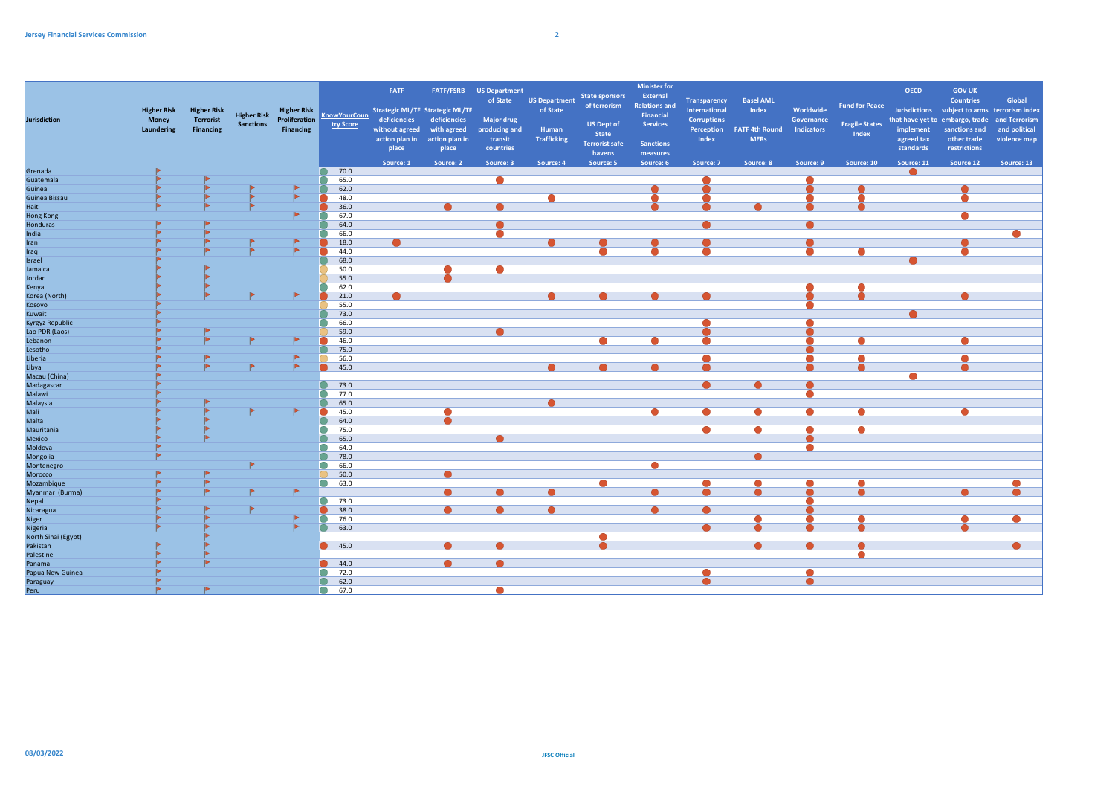| Jurisdiction                        | <b>Higher Risk</b><br><b>Money</b><br>Laundering | <b>Higher Risk</b><br><b>Terrorist</b><br><b>Financing</b> | <b>Higher Risk</b><br><b>Sanctions</b> | <b>Higher Risk</b><br>Proliferation<br><b>Financing</b> | <b>KnowYourCoun</b><br>try Score | FATF<br><b>Strategic ML/TF Strategic ML/TF</b><br>deficiencies<br>without agreed<br>action plan in<br>place | deficiencies<br>with agreed<br>action plan in<br>place | <b>FATF/FSRB</b> US Department<br>of State<br><b>Major drug</b><br>producing and<br>transit<br>countries | <b>US Department</b><br>of State<br>Human<br><b>Trafficking</b> | <b>State sponsors</b><br>of terrorism<br><b>US Dept of</b><br><b>State</b><br><b>Terrorist safe</b><br>havens | <b>Minister for</b><br>External<br><b>Relations and</b><br>Financial<br><b>Services</b><br><b>Sanctions</b><br>measures | <b>Transparency</b><br><b>International</b><br><b>Corruptions</b><br>Perception<br>Index | <b>Basel AML</b><br>Index<br><b>FATF 4th Round</b><br><b>MERs</b> | Worldwide<br>Governance<br>Indicators | <b>Fund for Peace</b><br><b>Fragile States</b><br>Index | <b>OECD</b><br><b>implement</b><br>agreed tax<br>standards | <b>GOV UK</b><br><b>Countries</b><br>Jurisdictions subject to arms terrorism index<br>that have yet to embargo, trade<br>sanctions and<br>other trade<br>restrictions | Global<br>and Terrorism<br>and political<br>violence map |
|-------------------------------------|--------------------------------------------------|------------------------------------------------------------|----------------------------------------|---------------------------------------------------------|----------------------------------|-------------------------------------------------------------------------------------------------------------|--------------------------------------------------------|----------------------------------------------------------------------------------------------------------|-----------------------------------------------------------------|---------------------------------------------------------------------------------------------------------------|-------------------------------------------------------------------------------------------------------------------------|------------------------------------------------------------------------------------------|-------------------------------------------------------------------|---------------------------------------|---------------------------------------------------------|------------------------------------------------------------|-----------------------------------------------------------------------------------------------------------------------------------------------------------------------|----------------------------------------------------------|
|                                     |                                                  |                                                            |                                        |                                                         |                                  | Source: 1                                                                                                   | Source: 2                                              | Source: 3                                                                                                | Source: 4                                                       | Source: 5                                                                                                     | Source: 6                                                                                                               | Source: 7                                                                                | Source: 8                                                         | Source: 9                             | Source: 10                                              | Source: 11                                                 | Source 12                                                                                                                                                             | Source: 13                                               |
| Grenada                             |                                                  |                                                            |                                        |                                                         | 70.0                             |                                                                                                             |                                                        |                                                                                                          |                                                                 |                                                                                                               |                                                                                                                         |                                                                                          |                                                                   |                                       |                                                         |                                                            |                                                                                                                                                                       |                                                          |
| Guatemala                           |                                                  |                                                            |                                        |                                                         | 65.0                             |                                                                                                             |                                                        |                                                                                                          |                                                                 |                                                                                                               |                                                                                                                         |                                                                                          |                                                                   |                                       |                                                         |                                                            |                                                                                                                                                                       |                                                          |
| Guinea                              |                                                  |                                                            |                                        |                                                         | 62.0                             |                                                                                                             |                                                        |                                                                                                          |                                                                 |                                                                                                               |                                                                                                                         |                                                                                          |                                                                   |                                       |                                                         |                                                            |                                                                                                                                                                       |                                                          |
| Guinea Bissau                       |                                                  |                                                            |                                        |                                                         | 48.0                             |                                                                                                             |                                                        |                                                                                                          |                                                                 |                                                                                                               |                                                                                                                         |                                                                                          |                                                                   |                                       |                                                         |                                                            |                                                                                                                                                                       |                                                          |
| Haiti                               |                                                  |                                                            |                                        |                                                         | 36.0                             |                                                                                                             |                                                        |                                                                                                          |                                                                 |                                                                                                               |                                                                                                                         |                                                                                          |                                                                   |                                       |                                                         |                                                            |                                                                                                                                                                       |                                                          |
| Hong Kong                           |                                                  |                                                            |                                        |                                                         | 67.0                             |                                                                                                             |                                                        |                                                                                                          |                                                                 |                                                                                                               |                                                                                                                         |                                                                                          |                                                                   |                                       |                                                         |                                                            |                                                                                                                                                                       |                                                          |
| Honduras                            |                                                  |                                                            |                                        |                                                         | 64.0                             |                                                                                                             |                                                        |                                                                                                          |                                                                 |                                                                                                               |                                                                                                                         |                                                                                          |                                                                   |                                       |                                                         |                                                            |                                                                                                                                                                       |                                                          |
| India                               |                                                  |                                                            |                                        |                                                         | 66.0                             |                                                                                                             |                                                        |                                                                                                          |                                                                 |                                                                                                               |                                                                                                                         |                                                                                          |                                                                   |                                       |                                                         |                                                            |                                                                                                                                                                       |                                                          |
| Iran                                |                                                  |                                                            |                                        |                                                         | 18.0                             |                                                                                                             |                                                        |                                                                                                          |                                                                 |                                                                                                               |                                                                                                                         |                                                                                          |                                                                   |                                       |                                                         |                                                            |                                                                                                                                                                       |                                                          |
| Iraq                                |                                                  |                                                            |                                        |                                                         | 44.0                             |                                                                                                             |                                                        |                                                                                                          |                                                                 |                                                                                                               |                                                                                                                         |                                                                                          |                                                                   |                                       |                                                         |                                                            |                                                                                                                                                                       |                                                          |
| Israel                              |                                                  |                                                            |                                        |                                                         | 68.0                             |                                                                                                             |                                                        |                                                                                                          |                                                                 |                                                                                                               |                                                                                                                         |                                                                                          |                                                                   |                                       |                                                         |                                                            |                                                                                                                                                                       |                                                          |
| Jamaica                             |                                                  |                                                            |                                        |                                                         | 50.0                             |                                                                                                             |                                                        |                                                                                                          |                                                                 |                                                                                                               |                                                                                                                         |                                                                                          |                                                                   |                                       |                                                         |                                                            |                                                                                                                                                                       |                                                          |
| Jordan                              |                                                  |                                                            |                                        |                                                         | 55.0                             |                                                                                                             |                                                        |                                                                                                          |                                                                 |                                                                                                               |                                                                                                                         |                                                                                          |                                                                   |                                       |                                                         |                                                            |                                                                                                                                                                       |                                                          |
| Kenya                               |                                                  |                                                            |                                        |                                                         | 62.0                             |                                                                                                             |                                                        |                                                                                                          |                                                                 |                                                                                                               |                                                                                                                         |                                                                                          |                                                                   |                                       |                                                         |                                                            |                                                                                                                                                                       |                                                          |
| Korea (North)                       |                                                  |                                                            |                                        |                                                         | 21.0                             |                                                                                                             |                                                        |                                                                                                          |                                                                 |                                                                                                               |                                                                                                                         |                                                                                          |                                                                   |                                       |                                                         |                                                            |                                                                                                                                                                       |                                                          |
| Kosovo                              |                                                  |                                                            |                                        |                                                         | 55.0                             |                                                                                                             |                                                        |                                                                                                          |                                                                 |                                                                                                               |                                                                                                                         |                                                                                          |                                                                   |                                       |                                                         |                                                            |                                                                                                                                                                       |                                                          |
| Kuwait                              |                                                  |                                                            |                                        |                                                         | 73.0                             |                                                                                                             |                                                        |                                                                                                          |                                                                 |                                                                                                               |                                                                                                                         |                                                                                          |                                                                   |                                       |                                                         |                                                            |                                                                                                                                                                       |                                                          |
| <b>Kyrgyz Republic</b>              |                                                  |                                                            |                                        |                                                         | 66.0                             |                                                                                                             |                                                        |                                                                                                          |                                                                 |                                                                                                               |                                                                                                                         |                                                                                          |                                                                   |                                       |                                                         |                                                            |                                                                                                                                                                       |                                                          |
| Lao PDR (Laos)                      |                                                  |                                                            |                                        |                                                         | 59.0                             |                                                                                                             |                                                        |                                                                                                          |                                                                 |                                                                                                               |                                                                                                                         |                                                                                          |                                                                   |                                       |                                                         |                                                            |                                                                                                                                                                       |                                                          |
| Lebanon                             |                                                  |                                                            |                                        |                                                         | 46.0                             |                                                                                                             |                                                        |                                                                                                          |                                                                 |                                                                                                               |                                                                                                                         |                                                                                          |                                                                   |                                       |                                                         |                                                            |                                                                                                                                                                       |                                                          |
| Lesotho                             |                                                  |                                                            |                                        |                                                         | 75.0                             |                                                                                                             |                                                        |                                                                                                          |                                                                 |                                                                                                               |                                                                                                                         |                                                                                          |                                                                   |                                       |                                                         |                                                            |                                                                                                                                                                       |                                                          |
| Liberia                             |                                                  |                                                            |                                        |                                                         | 56.0                             |                                                                                                             |                                                        |                                                                                                          |                                                                 |                                                                                                               |                                                                                                                         |                                                                                          |                                                                   |                                       |                                                         |                                                            |                                                                                                                                                                       |                                                          |
| Libya                               |                                                  |                                                            |                                        |                                                         | 45.0                             |                                                                                                             |                                                        |                                                                                                          |                                                                 |                                                                                                               |                                                                                                                         |                                                                                          |                                                                   |                                       |                                                         |                                                            |                                                                                                                                                                       |                                                          |
| Macau (China)<br>Madagascar         |                                                  |                                                            |                                        |                                                         |                                  |                                                                                                             |                                                        |                                                                                                          |                                                                 |                                                                                                               |                                                                                                                         |                                                                                          |                                                                   |                                       |                                                         |                                                            |                                                                                                                                                                       |                                                          |
|                                     |                                                  |                                                            |                                        |                                                         | $\bullet$<br>73.0<br>◠           |                                                                                                             |                                                        |                                                                                                          |                                                                 |                                                                                                               |                                                                                                                         |                                                                                          |                                                                   |                                       |                                                         |                                                            |                                                                                                                                                                       |                                                          |
| Malawi                              |                                                  |                                                            |                                        |                                                         | 77.0                             |                                                                                                             |                                                        |                                                                                                          |                                                                 |                                                                                                               |                                                                                                                         |                                                                                          |                                                                   |                                       |                                                         |                                                            |                                                                                                                                                                       |                                                          |
| Malaysia                            |                                                  |                                                            |                                        |                                                         | 65.0<br>e                        |                                                                                                             |                                                        |                                                                                                          |                                                                 |                                                                                                               |                                                                                                                         |                                                                                          |                                                                   |                                       |                                                         |                                                            |                                                                                                                                                                       |                                                          |
| Mali<br>Mali<br>Malta<br>Mauritania |                                                  |                                                            |                                        |                                                         | 45.0                             |                                                                                                             |                                                        |                                                                                                          |                                                                 |                                                                                                               |                                                                                                                         |                                                                                          |                                                                   |                                       |                                                         |                                                            |                                                                                                                                                                       |                                                          |
|                                     |                                                  |                                                            |                                        |                                                         | 64.0                             |                                                                                                             |                                                        |                                                                                                          |                                                                 |                                                                                                               |                                                                                                                         |                                                                                          |                                                                   |                                       |                                                         |                                                            |                                                                                                                                                                       |                                                          |
| Mexico                              |                                                  |                                                            |                                        |                                                         | 75.0                             |                                                                                                             |                                                        |                                                                                                          |                                                                 |                                                                                                               |                                                                                                                         |                                                                                          |                                                                   |                                       |                                                         |                                                            |                                                                                                                                                                       |                                                          |
|                                     |                                                  |                                                            |                                        |                                                         | 65.0<br>64.0                     |                                                                                                             |                                                        |                                                                                                          |                                                                 |                                                                                                               |                                                                                                                         |                                                                                          |                                                                   |                                       |                                                         |                                                            |                                                                                                                                                                       |                                                          |
| Moldova                             |                                                  |                                                            |                                        |                                                         | 78.0                             |                                                                                                             |                                                        |                                                                                                          |                                                                 |                                                                                                               |                                                                                                                         |                                                                                          |                                                                   |                                       |                                                         |                                                            |                                                                                                                                                                       |                                                          |
| Mongolia<br>Montenegro              |                                                  |                                                            |                                        |                                                         | 66.0                             |                                                                                                             |                                                        |                                                                                                          |                                                                 |                                                                                                               |                                                                                                                         |                                                                                          |                                                                   |                                       |                                                         |                                                            |                                                                                                                                                                       |                                                          |
| Morocco                             |                                                  |                                                            |                                        |                                                         | 50.0                             |                                                                                                             |                                                        |                                                                                                          |                                                                 |                                                                                                               |                                                                                                                         |                                                                                          |                                                                   |                                       |                                                         |                                                            |                                                                                                                                                                       |                                                          |
| Mozambique                          |                                                  |                                                            |                                        |                                                         | 63.0                             |                                                                                                             |                                                        |                                                                                                          |                                                                 |                                                                                                               |                                                                                                                         |                                                                                          |                                                                   |                                       |                                                         |                                                            |                                                                                                                                                                       |                                                          |
| Myanmar (Burma)                     |                                                  |                                                            |                                        |                                                         |                                  |                                                                                                             |                                                        |                                                                                                          |                                                                 |                                                                                                               |                                                                                                                         |                                                                                          |                                                                   |                                       |                                                         |                                                            |                                                                                                                                                                       |                                                          |
| Nepal                               |                                                  |                                                            |                                        |                                                         | 73.0<br>n                        |                                                                                                             |                                                        |                                                                                                          |                                                                 |                                                                                                               |                                                                                                                         |                                                                                          |                                                                   |                                       |                                                         |                                                            |                                                                                                                                                                       |                                                          |
| Nicaragua                           |                                                  |                                                            |                                        |                                                         | 38.0                             |                                                                                                             |                                                        |                                                                                                          |                                                                 |                                                                                                               |                                                                                                                         |                                                                                          |                                                                   |                                       |                                                         |                                                            |                                                                                                                                                                       |                                                          |
| Niger                               |                                                  |                                                            |                                        |                                                         | ◠<br>76.0                        |                                                                                                             |                                                        |                                                                                                          |                                                                 |                                                                                                               |                                                                                                                         |                                                                                          |                                                                   |                                       |                                                         |                                                            |                                                                                                                                                                       | $\bullet$                                                |
| Nigeria                             |                                                  |                                                            |                                        |                                                         | 63.0                             |                                                                                                             |                                                        |                                                                                                          |                                                                 |                                                                                                               |                                                                                                                         |                                                                                          |                                                                   |                                       |                                                         |                                                            |                                                                                                                                                                       |                                                          |
| North Sinai (Egypt)                 |                                                  |                                                            |                                        |                                                         |                                  |                                                                                                             |                                                        |                                                                                                          |                                                                 |                                                                                                               |                                                                                                                         |                                                                                          |                                                                   |                                       |                                                         |                                                            |                                                                                                                                                                       |                                                          |
| Pakistan                            |                                                  |                                                            |                                        |                                                         | $\bullet$<br>45.0                |                                                                                                             |                                                        |                                                                                                          |                                                                 |                                                                                                               |                                                                                                                         |                                                                                          |                                                                   |                                       |                                                         |                                                            |                                                                                                                                                                       |                                                          |
| Palestine                           |                                                  |                                                            |                                        |                                                         |                                  |                                                                                                             |                                                        |                                                                                                          |                                                                 |                                                                                                               |                                                                                                                         |                                                                                          |                                                                   |                                       |                                                         |                                                            |                                                                                                                                                                       |                                                          |
| Panama                              |                                                  |                                                            |                                        |                                                         | 44.0                             |                                                                                                             |                                                        |                                                                                                          |                                                                 |                                                                                                               |                                                                                                                         |                                                                                          |                                                                   |                                       |                                                         |                                                            |                                                                                                                                                                       |                                                          |
| Papua New Guinea                    |                                                  |                                                            |                                        |                                                         | 72.0                             |                                                                                                             |                                                        |                                                                                                          |                                                                 |                                                                                                               |                                                                                                                         |                                                                                          |                                                                   |                                       |                                                         |                                                            |                                                                                                                                                                       |                                                          |
| Paraguay                            |                                                  |                                                            |                                        |                                                         | 62.0                             |                                                                                                             |                                                        |                                                                                                          |                                                                 |                                                                                                               |                                                                                                                         |                                                                                          |                                                                   |                                       |                                                         |                                                            |                                                                                                                                                                       |                                                          |
| Peru                                |                                                  |                                                            |                                        |                                                         | 67.0                             |                                                                                                             |                                                        |                                                                                                          |                                                                 |                                                                                                               |                                                                                                                         |                                                                                          |                                                                   |                                       |                                                         |                                                            |                                                                                                                                                                       |                                                          |